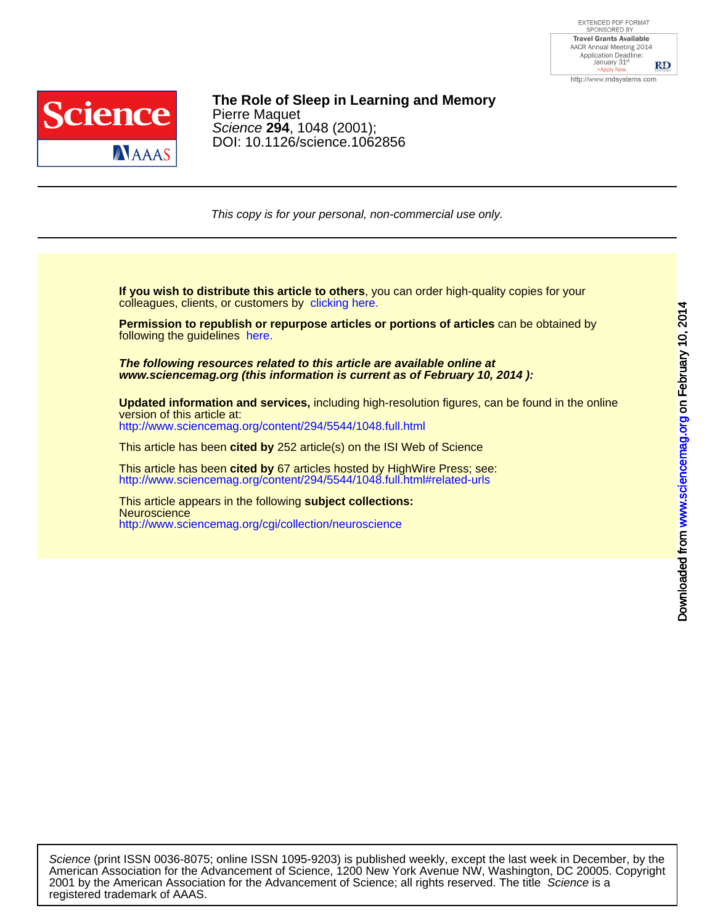

DOI: 10.1126/science.1062856 Science **294**, 1048 (2001); Pierre Maquet **Th[e Role of Sleep in Learning and Memory](http://www.sciencemag.org/cgi/collection/neuroscience)**

This copy is for your personal, non-commercial use only.

colleagues, clients, or customers by [clicking here.](http://www.sciencemag.org/about/permissions.dtl) **If you wish to distribute this article to others**, you can order high-quality copies for your

following the guidelines [here.](http://www.sciencemag.org/about/permissions.dtl) **Permission to republish or repurpose articles or portions of articles** can be obtained by

**www.sciencemag.org (this information is current as of February 10, 2014 ): The following resources related to this article are available online at**

<http://www.sciencemag.org/content/294/5544/1048.full.html> version of this article at: **Updated information and services,** including high-resolution figures, can be found in the online

This article has been **cited by** 252 article(s) on the ISI Web of Science

<http://www.sciencemag.org/content/294/5544/1048.full.html#related-urls> This article has been **cited by** 67 articles hosted by HighWire Press; see:

<http://www.sciencemag.org/cgi/collection/neuroscience> **Neuroscience** This article appears in the following **subject collections:**

registered trademark of AAAS. 2001 by the American Association for the Advancement of Science; all rights reserved. The title Science is a American Association for the Advancement of Science, 1200 New York Avenue NW, Washington, DC 20005. Copyright Science (print ISSN 0036-8075; online ISSN 1095-9203) is published weekly, except the last week in December, by the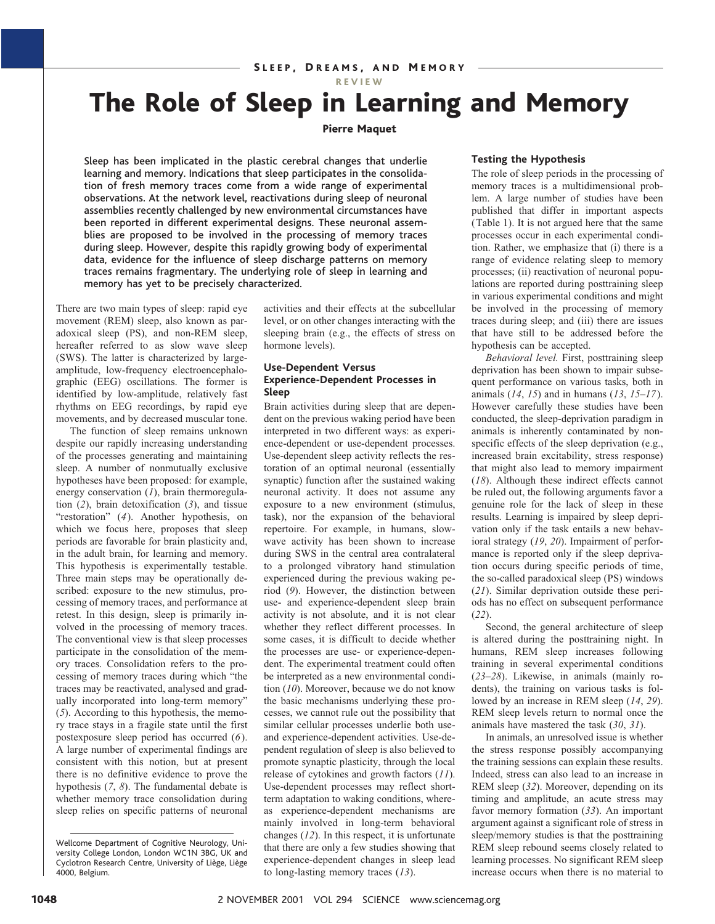REVIEW

# The Role of Sleep in Learning and Memory

## Pierre Maquet

Sleep has been implicated in the plastic cerebral changes that underlie learning and memory. Indications that sleep participates in the consolidation of fresh memory traces come from a wide range of experimental observations. At the network level, reactivations during sleep of neuronal assemblies recently challenged by new environmental circumstances have been reported in different experimental designs. These neuronal assemblies are proposed to be involved in the processing of memory traces during sleep. However, despite this rapidly growing body of experimental data, evidence for the influence of sleep discharge patterns on memory traces remains fragmentary. The underlying role of sleep in learning and memory has yet to be precisely characterized.

There are two main types of sleep: rapid eye movement (REM) sleep, also known as paradoxical sleep (PS), and non-REM sleep, hereafter referred to as slow wave sleep (SWS). The latter is characterized by largeamplitude, low-frequency electroencephalographic (EEG) oscillations. The former is identified by low-amplitude, relatively fast rhythms on EEG recordings, by rapid eye movements, and by decreased muscular tone.

The function of sleep remains unknown despite our rapidly increasing understanding of the processes generating and maintaining sleep. A number of nonmutually exclusive hypotheses have been proposed: for example, energy conservation (*1*), brain thermoregulation (*2*), brain detoxification (*3*), and tissue "restoration" (*4*). Another hypothesis, on which we focus here, proposes that sleep periods are favorable for brain plasticity and, in the adult brain, for learning and memory. This hypothesis is experimentally testable. Three main steps may be operationally described: exposure to the new stimulus, processing of memory traces, and performance at retest. In this design, sleep is primarily involved in the processing of memory traces. The conventional view is that sleep processes participate in the consolidation of the memory traces. Consolidation refers to the processing of memory traces during which "the traces may be reactivated, analysed and gradually incorporated into long-term memory" (*5*). According to this hypothesis, the memory trace stays in a fragile state until the first postexposure sleep period has occurred (*6*). A large number of experimental findings are consistent with this notion, but at present there is no definitive evidence to prove the hypothesis (*7*, *8*). The fundamental debate is whether memory trace consolidation during sleep relies on specific patterns of neuronal activities and their effects at the subcellular level, or on other changes interacting with the sleeping brain (e.g., the effects of stress on hormone levels).

## **Use-Dependent Versus Experience-Dependent Processes in Sleep**

Brain activities during sleep that are dependent on the previous waking period have been interpreted in two different ways: as experience-dependent or use-dependent processes. Use-dependent sleep activity reflects the restoration of an optimal neuronal (essentially synaptic) function after the sustained waking neuronal activity. It does not assume any exposure to a new environment (stimulus, task), nor the expansion of the behavioral repertoire. For example, in humans, slowwave activity has been shown to increase during SWS in the central area contralateral to a prolonged vibratory hand stimulation experienced during the previous waking period (*9*). However, the distinction between use- and experience-dependent sleep brain activity is not absolute, and it is not clear whether they reflect different processes. In some cases, it is difficult to decide whether the processes are use- or experience-dependent. The experimental treatment could often be interpreted as a new environmental condition (*10*). Moreover, because we do not know the basic mechanisms underlying these processes, we cannot rule out the possibility that similar cellular processes underlie both useand experience-dependent activities. Use-dependent regulation of sleep is also believed to promote synaptic plasticity, through the local release of cytokines and growth factors (*11*). Use-dependent processes may reflect shortterm adaptation to waking conditions, whereas experience-dependent mechanisms are mainly involved in long-term behavioral changes (*12*). In this respect, it is unfortunate that there are only a few studies showing that experience-dependent changes in sleep lead to long-lasting memory traces (*13*).

## **Testing the Hypothesis**

The role of sleep periods in the processing of memory traces is a multidimensional problem. A large number of studies have been published that differ in important aspects (Table 1). It is not argued here that the same processes occur in each experimental condition. Rather, we emphasize that (i) there is a range of evidence relating sleep to memory processes; (ii) reactivation of neuronal populations are reported during posttraining sleep in various experimental conditions and might be involved in the processing of memory traces during sleep; and (iii) there are issues that have still to be addressed before the hypothesis can be accepted.

*Behavioral level.* First, posttraining sleep deprivation has been shown to impair subsequent performance on various tasks, both in animals (*14*, *15*) and in humans (*13*, *15*–*17*). However carefully these studies have been conducted, the sleep-deprivation paradigm in animals is inherently contaminated by nonspecific effects of the sleep deprivation (e.g., increased brain excitability, stress response) that might also lead to memory impairment (*18*). Although these indirect effects cannot be ruled out, the following arguments favor a genuine role for the lack of sleep in these results. Learning is impaired by sleep deprivation only if the task entails a new behavioral strategy (*19*, *20*). Impairment of performance is reported only if the sleep deprivation occurs during specific periods of time, the so-called paradoxical sleep (PS) windows (*21*). Similar deprivation outside these periods has no effect on subsequent performance (*22*).

Second, the general architecture of sleep is altered during the posttraining night. In humans, REM sleep increases following training in several experimental conditions (*23*–*28*). Likewise, in animals (mainly rodents), the training on various tasks is followed by an increase in REM sleep (*14*, *29*). REM sleep levels return to normal once the animals have mastered the task (*30*, *31*).

In animals, an unresolved issue is whether the stress response possibly accompanying the training sessions can explain these results. Indeed, stress can also lead to an increase in REM sleep (*32*). Moreover, depending on its timing and amplitude, an acute stress may favor memory formation (*33*). An important argument against a significant role of stress in sleep/memory studies is that the posttraining REM sleep rebound seems closely related to learning processes. No significant REM sleep increase occurs when there is no material to

Wellcome Department of Cognitive Neurology, University College London, London WC1N 3BG, UK and Cyclotron Research Centre, University of Liège, Liège 4000, Belgium.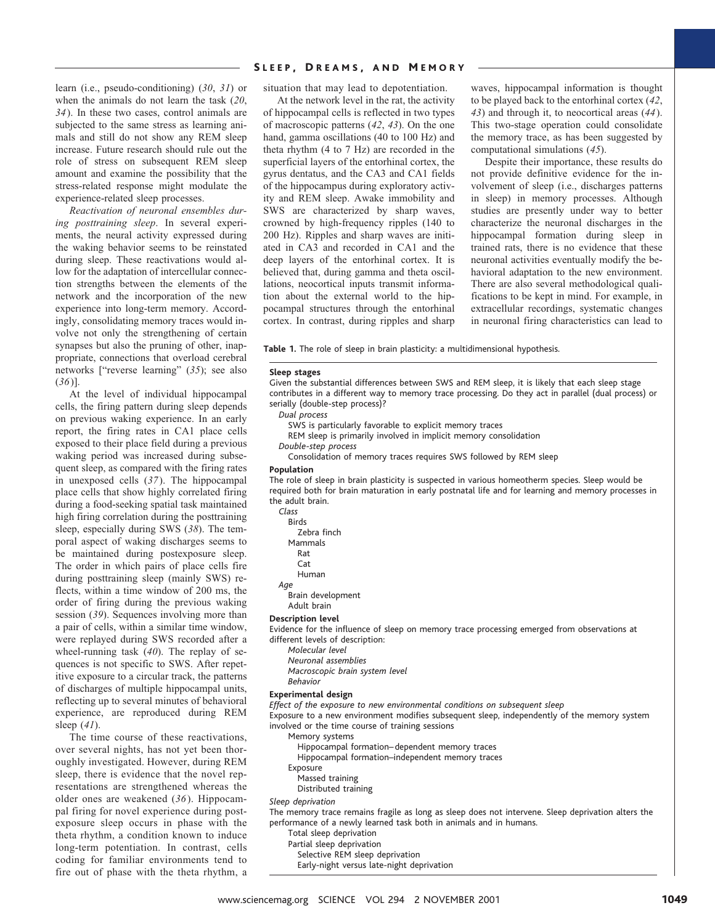learn (i.e., pseudo-conditioning) (*30*, *31*) or when the animals do not learn the task (*20*, *34*). In these two cases, control animals are subjected to the same stress as learning animals and still do not show any REM sleep increase. Future research should rule out the role of stress on subsequent REM sleep amount and examine the possibility that the stress-related response might modulate the experience-related sleep processes.

*Reactivation of neuronal ensembles during posttraining sleep*. In several experiments, the neural activity expressed during the waking behavior seems to be reinstated during sleep. These reactivations would allow for the adaptation of intercellular connection strengths between the elements of the network and the incorporation of the new experience into long-term memory. Accordingly, consolidating memory traces would involve not only the strengthening of certain synapses but also the pruning of other, inappropriate, connections that overload cerebral networks ["reverse learning" (*35*); see also (*36*)].

At the level of individual hippocampal cells, the firing pattern during sleep depends on previous waking experience. In an early report, the firing rates in CA1 place cells exposed to their place field during a previous waking period was increased during subsequent sleep, as compared with the firing rates in unexposed cells (*37*). The hippocampal place cells that show highly correlated firing during a food-seeking spatial task maintained high firing correlation during the posttraining sleep, especially during SWS (*38*). The temporal aspect of waking discharges seems to be maintained during postexposure sleep. The order in which pairs of place cells fire during posttraining sleep (mainly SWS) reflects, within a time window of 200 ms, the order of firing during the previous waking session (*39*). Sequences involving more than a pair of cells, within a similar time window, were replayed during SWS recorded after a wheel-running task (*40*). The replay of sequences is not specific to SWS. After repetitive exposure to a circular track, the patterns of discharges of multiple hippocampal units, reflecting up to several minutes of behavioral experience, are reproduced during REM sleep (*41*).

The time course of these reactivations, over several nights, has not yet been thoroughly investigated. However, during REM sleep, there is evidence that the novel representations are strengthened whereas the older ones are weakened (*36*). Hippocampal firing for novel experience during postexposure sleep occurs in phase with the theta rhythm, a condition known to induce long-term potentiation. In contrast, cells coding for familiar environments tend to fire out of phase with the theta rhythm, a

## SLEEP, DREAMS, AND MEMORY

situation that may lead to depotentiation.

At the network level in the rat, the activity of hippocampal cells is reflected in two types of macroscopic patterns (*42*, *43*). On the one hand, gamma oscillations (40 to 100 Hz) and theta rhythm (4 to 7 Hz) are recorded in the superficial layers of the entorhinal cortex, the gyrus dentatus, and the CA3 and CA1 fields of the hippocampus during exploratory activity and REM sleep. Awake immobility and SWS are characterized by sharp waves, crowned by high-frequency ripples (140 to 200 Hz). Ripples and sharp waves are initiated in CA3 and recorded in CA1 and the deep layers of the entorhinal cortex. It is believed that, during gamma and theta oscillations, neocortical inputs transmit information about the external world to the hippocampal structures through the entorhinal cortex. In contrast, during ripples and sharp

waves, hippocampal information is thought to be played back to the entorhinal cortex (*42*, *43*) and through it, to neocortical areas (*44*). This two-stage operation could consolidate the memory trace, as has been suggested by computational simulations (*45*).

Despite their importance, these results do not provide definitive evidence for the involvement of sleep (i.e., discharges patterns in sleep) in memory processes. Although studies are presently under way to better characterize the neuronal discharges in the hippocampal formation during sleep in trained rats, there is no evidence that these neuronal activities eventually modify the behavioral adaptation to the new environment. There are also several methodological qualifications to be kept in mind. For example, in extracellular recordings, systematic changes in neuronal firing characteristics can lead to

**Table 1.** The role of sleep in brain plasticity: a multidimensional hypothesis.

#### **Sleep stages**

Given the substantial differences between SWS and REM sleep, it is likely that each sleep stage contributes in a different way to memory trace processing. Do they act in parallel (dual process) or serially (double-step process)? *Dual process* SWS is particularly favorable to explicit memory traces REM sleep is primarily involved in implicit memory consolidation *Double-step process* Consolidation of memory traces requires SWS followed by REM sleep **Population** The role of sleep in brain plasticity is suspected in various homeotherm species. Sleep would be required both for brain maturation in early postnatal life and for learning and memory processes in the adult brain. *Class* Birds Zebra finch Mammals Rat Cat Human *Age* Brain development Adult brain **Description level** Evidence for the influence of sleep on memory trace processing emerged from observations at different levels of description: *Molecular level Neuronal assemblies Macroscopic brain system level Behavior* **Experimental design** *Effect of the exposure to new environmental conditions on subsequent sleep* Exposure to a new environment modifies subsequent sleep, independently of the memory system involved or the time course of training sessions Memory systems Hippocampal formation– dependent memory traces

Hippocampal formation–independent memory traces

**Exposure** 

Massed training

Distributed training

## *Sleep deprivation*

The memory trace remains fragile as long as sleep does not intervene. Sleep deprivation alters the performance of a newly learned task both in animals and in humans.

Total sleep deprivation

Partial sleep deprivation

Selective REM sleep deprivation

Early-night versus late-night deprivation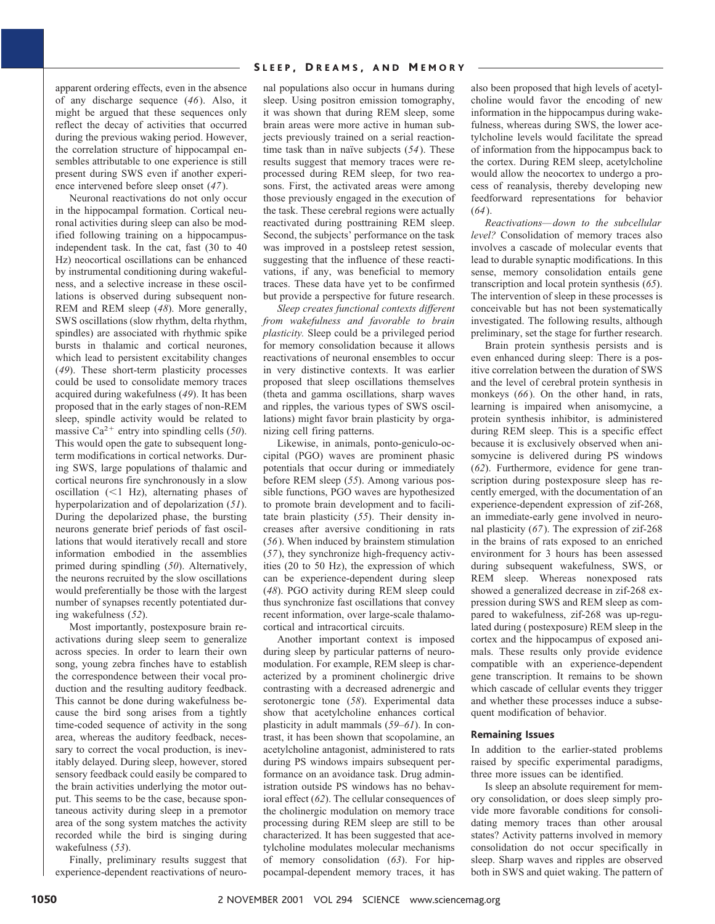## SLEEP, DREAMS, AND MEMORY

apparent ordering effects, even in the absence of any discharge sequence (*46*). Also, it might be argued that these sequences only reflect the decay of activities that occurred during the previous waking period. However, the correlation structure of hippocampal ensembles attributable to one experience is still present during SWS even if another experience intervened before sleep onset (*47*).

Neuronal reactivations do not only occur in the hippocampal formation. Cortical neuronal activities during sleep can also be modified following training on a hippocampusindependent task. In the cat, fast (30 to 40 Hz) neocortical oscillations can be enhanced by instrumental conditioning during wakefulness, and a selective increase in these oscillations is observed during subsequent non-REM and REM sleep (*48*). More generally, SWS oscillations (slow rhythm, delta rhythm, spindles) are associated with rhythmic spike bursts in thalamic and cortical neurones, which lead to persistent excitability changes (*49*). These short-term plasticity processes could be used to consolidate memory traces acquired during wakefulness (*49*). It has been proposed that in the early stages of non-REM sleep, spindle activity would be related to massive  $Ca^{2+}$  entry into spindling cells (50). This would open the gate to subsequent longterm modifications in cortical networks. During SWS, large populations of thalamic and cortical neurons fire synchronously in a slow oscillation  $(<1$  Hz), alternating phases of hyperpolarization and of depolarization (*51*). During the depolarized phase, the bursting neurons generate brief periods of fast oscillations that would iteratively recall and store information embodied in the assemblies primed during spindling (*50*). Alternatively, the neurons recruited by the slow oscillations would preferentially be those with the largest number of synapses recently potentiated during wakefulness (*52*).

Most importantly, postexposure brain reactivations during sleep seem to generalize across species. In order to learn their own song, young zebra finches have to establish the correspondence between their vocal production and the resulting auditory feedback. This cannot be done during wakefulness because the bird song arises from a tightly time-coded sequence of activity in the song area, whereas the auditory feedback, necessary to correct the vocal production, is inevitably delayed. During sleep, however, stored sensory feedback could easily be compared to the brain activities underlying the motor output. This seems to be the case, because spontaneous activity during sleep in a premotor area of the song system matches the activity recorded while the bird is singing during wakefulness (*53*).

Finally, preliminary results suggest that experience-dependent reactivations of neuro-

nal populations also occur in humans during sleep. Using positron emission tomography, it was shown that during REM sleep, some brain areas were more active in human subjects previously trained on a serial reactiontime task than in naïve subjects (54). These results suggest that memory traces were reprocessed during REM sleep, for two reasons. First, the activated areas were among those previously engaged in the execution of the task. These cerebral regions were actually reactivated during posttraining REM sleep. Second, the subjects' performance on the task was improved in a postsleep retest session, suggesting that the influence of these reactivations, if any, was beneficial to memory traces. These data have yet to be confirmed but provide a perspective for future research.

*Sleep creates functional contexts different from wakefulness and favorable to brain plasticity.* Sleep could be a privileged period for memory consolidation because it allows reactivations of neuronal ensembles to occur in very distinctive contexts. It was earlier proposed that sleep oscillations themselves (theta and gamma oscillations, sharp waves and ripples, the various types of SWS oscillations) might favor brain plasticity by organizing cell firing patterns.

Likewise, in animals, ponto-geniculo-occipital (PGO) waves are prominent phasic potentials that occur during or immediately before REM sleep (*55*). Among various possible functions, PGO waves are hypothesized to promote brain development and to facilitate brain plasticity (*55*). Their density increases after aversive conditioning in rats (*56*). When induced by brainstem stimulation (*57*), they synchronize high-frequency activities (20 to 50 Hz), the expression of which can be experience-dependent during sleep (*48*). PGO activity during REM sleep could thus synchronize fast oscillations that convey recent information, over large-scale thalamocortical and intracortical circuits.

Another important context is imposed during sleep by particular patterns of neuromodulation. For example, REM sleep is characterized by a prominent cholinergic drive contrasting with a decreased adrenergic and serotonergic tone (*58*). Experimental data show that acetylcholine enhances cortical plasticity in adult mammals (*59*–*61*). In contrast, it has been shown that scopolamine, an acetylcholine antagonist, administered to rats during PS windows impairs subsequent performance on an avoidance task. Drug administration outside PS windows has no behavioral effect (*62*). The cellular consequences of the cholinergic modulation on memory trace processing during REM sleep are still to be characterized. It has been suggested that acetylcholine modulates molecular mechanisms of memory consolidation (*63*). For hippocampal-dependent memory traces, it has

also been proposed that high levels of acetylcholine would favor the encoding of new information in the hippocampus during wakefulness, whereas during SWS, the lower acetylcholine levels would facilitate the spread of information from the hippocampus back to the cortex. During REM sleep, acetylcholine would allow the neocortex to undergo a process of reanalysis, thereby developing new feedforward representations for behavior (*64*).

*Reactivations—down to the subcellular level?* Consolidation of memory traces also involves a cascade of molecular events that lead to durable synaptic modifications. In this sense, memory consolidation entails gene transcription and local protein synthesis (*65*). The intervention of sleep in these processes is conceivable but has not been systematically investigated. The following results, although preliminary, set the stage for further research.

Brain protein synthesis persists and is even enhanced during sleep: There is a positive correlation between the duration of SWS and the level of cerebral protein synthesis in monkeys (*66*). On the other hand, in rats, learning is impaired when anisomycine, a protein synthesis inhibitor, is administered during REM sleep. This is a specific effect because it is exclusively observed when anisomycine is delivered during PS windows (*62*). Furthermore, evidence for gene transcription during postexposure sleep has recently emerged, with the documentation of an experience-dependent expression of zif-268, an immediate-early gene involved in neuronal plasticity (*67*). The expression of zif-268 in the brains of rats exposed to an enriched environment for 3 hours has been assessed during subsequent wakefulness, SWS, or REM sleep. Whereas nonexposed rats showed a generalized decrease in zif-268 expression during SWS and REM sleep as compared to wakefulness, zif-268 was up-regulated during (postexposure) REM sleep in the cortex and the hippocampus of exposed animals. These results only provide evidence compatible with an experience-dependent gene transcription. It remains to be shown which cascade of cellular events they trigger and whether these processes induce a subsequent modification of behavior.

#### **Remaining Issues**

In addition to the earlier-stated problems raised by specific experimental paradigms, three more issues can be identified.

Is sleep an absolute requirement for memory consolidation, or does sleep simply provide more favorable conditions for consolidating memory traces than other arousal states? Activity patterns involved in memory consolidation do not occur specifically in sleep. Sharp waves and ripples are observed both in SWS and quiet waking. The pattern of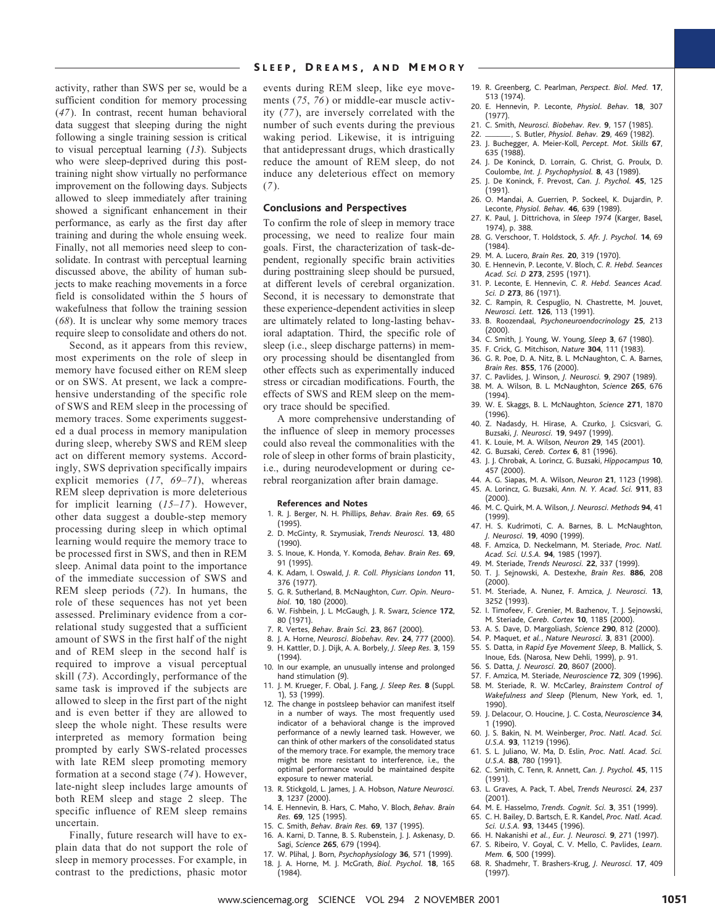activity, rather than SWS per se, would be a sufficient condition for memory processing (*47*). In contrast, recent human behavioral data suggest that sleeping during the night following a single training session is critical to visual perceptual learning (*13*). Subjects who were sleep-deprived during this posttraining night show virtually no performance improvement on the following days. Subjects allowed to sleep immediately after training showed a significant enhancement in their performance, as early as the first day after training and during the whole ensuing week. Finally, not all memories need sleep to consolidate. In contrast with perceptual learning discussed above, the ability of human subjects to make reaching movements in a force field is consolidated within the 5 hours of wakefulness that follow the training session (*68*). It is unclear why some memory traces require sleep to consolidate and others do not.

Second, as it appears from this review, most experiments on the role of sleep in memory have focused either on REM sleep or on SWS. At present, we lack a comprehensive understanding of the specific role of SWS and REM sleep in the processing of memory traces. Some experiments suggested a dual process in memory manipulation during sleep, whereby SWS and REM sleep act on different memory systems. Accordingly, SWS deprivation specifically impairs explicit memories (*17*, *69*–*71*), whereas REM sleep deprivation is more deleterious for implicit learning (*15*–*17*). However, other data suggest a double-step memory processing during sleep in which optimal learning would require the memory trace to be processed first in SWS, and then in REM sleep. Animal data point to the importance of the immediate succession of SWS and REM sleep periods (*72*). In humans, the role of these sequences has not yet been assessed. Preliminary evidence from a correlational study suggested that a sufficient amount of SWS in the first half of the night and of REM sleep in the second half is required to improve a visual perceptual skill (*73*). Accordingly, performance of the same task is improved if the subjects are allowed to sleep in the first part of the night and is even better if they are allowed to sleep the whole night. These results were interpreted as memory formation being prompted by early SWS-related processes with late REM sleep promoting memory formation at a second stage (*74*). However, late-night sleep includes large amounts of both REM sleep and stage 2 sleep. The specific influence of REM sleep remains uncertain.

Finally, future research will have to explain data that do not support the role of sleep in memory processes. For example, in contrast to the predictions, phasic motor

### SLEEP, DREAMS, AND MEMORY

events during REM sleep, like eye movements (*75*, *76*) or middle-ear muscle activity (*77*), are inversely correlated with the number of such events during the previous waking period. Likewise, it is intriguing that antidepressant drugs, which drastically reduce the amount of REM sleep, do not induce any deleterious effect on memory (*7*).

#### **Conclusions and Perspectives**

To confirm the role of sleep in memory trace processing, we need to realize four main goals. First, the characterization of task-dependent, regionally specific brain activities during posttraining sleep should be pursued, at different levels of cerebral organization. Second, it is necessary to demonstrate that these experience-dependent activities in sleep are ultimately related to long-lasting behavioral adaptation. Third, the specific role of sleep (i.e., sleep discharge patterns) in memory processing should be disentangled from other effects such as experimentally induced stress or circadian modifications. Fourth, the effects of SWS and REM sleep on the memory trace should be specified.

A more comprehensive understanding of the influence of sleep in memory processes could also reveal the commonalities with the role of sleep in other forms of brain plasticity, i.e., during neurodevelopment or during cerebral reorganization after brain damage.

#### **References and Notes**

- 1. R. J. Berger, N. H. Phillips, *Behav. Brain Res.* **69**, 65 (1995).
- 2. D. McGinty, R. Szymusiak, *Trends Neurosci.* **13**, 480 (1990). 3. S. Inoue, K. Honda, Y. Komoda, *Behav. Brain Res.* **69**,
- 91 (1995). 4. K. Adam, I. Oswald, *J. R. Coll. Physicians London* **11**,
- 376 (1977). 5. G. R. Sutherland, B. McNaughton, *Curr. Opin. Neuro-*
- *biol.* **10**, 180 (2000). 6. W. Fishbein, J. L. McGaugh, J. R. Swarz, *Science* **172**, 80 (1971).
- 7. R. Vertes, *Behav. Brain Sci.* **23**, 867 (2000).
- 8. J. A. Horne, *Neurosci. Biobehav. Rev.* **24**, 777 (2000).
- 9. H. Kattler, D. J. Dijk, A. A. Borbely, *J. Sleep Res.* **3**, 159 (1994).
- 10. In our example, an unusually intense and prolonged hand stimulation (*9*).
- 11. J. M. Krueger, F. Obal, J. Fang, *J. Sleep Res.* **8** (Suppl. 1), 53 (1999).
- 12. The change in postsleep behavior can manifest itself in a number of ways. The most frequently used indicator of a behavioral change is the improved performance of a newly learned task. However, we can think of other markers of the consolidated status of the memory trace. For example, the memory trace might be more resistant to interference, i.e., the optimal performance would be maintained despite exposure to newer material.
- 13. R. Stickgold, L. James, J. A. Hobson, *Nature Neurosci.* **3**, 1237 (2000).
- 14. E. Hennevin, B. Hars, C. Maho, V. Bloch, *Behav. Brain Res.* **69**, 125 (1995).
- 15. C. Smith, *Behav. Brain Res.* **69**, 137 (1995).
- 16. A. Karni, D. Tanne, B. S. Rubenstein, J. J. Askenasy, D. Sagi, *Science* **265**, 679 (1994).
- 17. W. Plihal, J. Born, *Psychophysiology* **36**, 571 (1999).
- 18. J. A. Horne, M. J. McGrath, *Biol. Psychol.* **18**, 165 (1984).
- 19. R. Greenberg, C. Pearlman, *Perspect. Biol. Med.* **17**, 513 (1974).
- 20. E. Hennevin, P. Leconte, *Physiol. Behav.* **18**, 307 (1977).
- 21. C. Smith, *Neurosci. Biobehav. Rev.* **9**, 157 (1985).
- 22. \_\_\_\_\_\_\_, S. Butler, *Physiol. Behav.* **29**, 469 (1982).
- 23. J. Buchegger, A. Meier-Koll, *Percept. Mot. Skills* **67**, 635 (1988).
- 24. J. De Koninck, D. Lorrain, G. Christ, G. Proulx, D. Coulombe, *Int. J. Psychophysiol.* **8**, 43 (1989).
- 25. J. De Koninck, F. Prevost, *Can. J. Psychol.* **45**, 125 (1991).
- 26. O. Mandai, A. Guerrien, P. Sockeel, K. Dujardin, P. Leconte, *Physiol. Behav.* **46**, 639 (1989).
- 27. K. Paul, J. Dittrichova, in *Sleep 1974* (Karger, Basel, 1974), p. 388.
- 28. G. Verschoor, T. Holdstock, *S. Afr. J. Psychol.* **14**, 69 (1984).
- 29. M. A. Lucero, *Brain Res.* **20**, 319 (1970).
- 30. E. Hennevin, P. Leconte, V. Bloch, *C. R. Hebd. Seances Acad. Sci. D* **273**, 2595 (1971).
- 31. P. Leconte, E. Hennevin, *C. R. Hebd. Seances Acad. Sci. D* **273**, 86 (1971).
- 32. C. Rampin, R. Cespuglio, N. Chastrette, M. Jouvet, *Neurosci. Lett.* **126**, 113 (1991).
- 33. B. Roozendaal, *Psychoneuroendocrinology* **25**, 213 (2000).
- 34. C. Smith, J. Young, W. Young, *Sleep* **3**, 67 (1980).
- 35. F. Crick, G. Mitchison, *Nature* **304**, 111 (1983).
- 36. G. R. Poe, D. A. Nitz, B. L. McNaughton, C. A. Barnes, *Brain Res.* **855**, 176 (2000).
- 37. C. Pavlides, J. Winson, *J. Neurosci.* **9**, 2907 (1989). 38. M. A. Wilson, B. L. McNaughton, *Science* **265**, 676 (1994).
- 39. W. E. Skaggs, B. L. McNaughton, *Science* **271**, 1870 (1996).
- 40. Z. Nadasdy, H. Hirase, A. Czurko, J. Csicsvari, G. Buzsaki, *J. Neurosci.* **19**, 9497 (1999).
- 41. K. Louie, M. A. Wilson, *Neuron* **29**, 145 (2001).
- 42. G. Buzsaki, *Cereb. Cortex* **6**, 81 (1996).
- 43. J. J. Chrobak, A. Lorincz, G. Buzsaki, *Hippocampus* **10**, 457 (2000).
- 44. A. G. Siapas, M. A. Wilson, *Neuron* **21**, 1123 (1998). 45. A. Lorincz, G. Buzsaki, *Ann. N. Y. Acad. Sci.* **911**, 83
- (2000). 46. M. C. Quirk, M. A. Wilson, *J. Neurosci. Methods* **94**, 41 (1999).
- 47. H. S. Kudrimoti, C. A. Barnes, B. L. McNaughton, *J. Neurosci.* **19**, 4090 (1999).
- 48. F. Amzica, D. Neckelmann, M. Steriade, *Proc. Natl. Acad. Sci. U.S.A.* **94**, 1985 (1997).
- 49. M. Steriade, *Trends Neurosci.* **22**, 337 (1999).
- 50. T. J. Sejnowski, A. Destexhe, *Brain Res.* **886**, 208 (2000).
- 51. M. Steriade, A. Nunez, F. Amzica, *J. Neurosci.* **13**, 3252 (1993).
- 52. I. Timofeev, F. Grenier, M. Bazhenov, T. J. Sejnowski, M. Steriade, *Cereb. Cortex* **10**, 1185 (2000).
- 53. A. S. Dave, D. Margoliash, *Science* **290**, 812 (2000).
- 54. P. Maquet, *et al.*, *Nature Neurosci.* **3**, 831 (2000).
- 55. S. Datta, in *Rapid Eye Movement Sleep*, B. Mallick, S. Inoue, Eds. (Narosa, New Dehli, 1999), p. 91.
- 56. S. Datta, *J. Neurosci.* **20**, 8607 (2000).
- 57. F. Amzica, M. Steriade, *Neuroscience* **72**, 309 (1996).
- 58. M. Steriade, R. W. McCarley, *Brainstem Control of Wakefulness and Sleep* (Plenum, New York, ed. 1, 1990).
- 59. J. Delacour, O. Houcine, J. C. Costa, *Neuroscience* **34**, 1 (1990).
- 60. J. S. Bakin, N. M. Weinberger, *Proc. Natl. Acad. Sci. U.S.A.* **93**, 11219 (1996).
- 61. S. L. Juliano, W. Ma, D. Eslin, *Proc. Natl. Acad. Sci. U.S.A.* **88**, 780 (1991).
- 62. C. Smith, C. Tenn, R. Annett, *Can. J. Psychol.* **45**, 115 (1991).
- 63. L. Graves, A. Pack, T. Abel, *Trends Neurosci.* **24**, 237 (2001).
- 64. M. E. Hasselmo, *Trends. Cognit. Sci.* **3**, 351 (1999). 65. C. H. Bailey, D. Bartsch, E. R. Kandel, *Proc. Natl. Acad.*
	- *Sci. U.S.A.* **93**, 13445 (1996).
	- 66. H. Nakanishi *et al.*, *Eur. J. Neurosci.* **9**, 271 (1997).
	- 67. S. Ribeiro, V. Goyal, C. V. Mello, C. Pavlides, *Learn. Mem.* **6**, 500 (1999).
	- 68. R. Shadmehr, T. Brashers-Krug, *J. Neurosci.* **17**, 409 (1997).